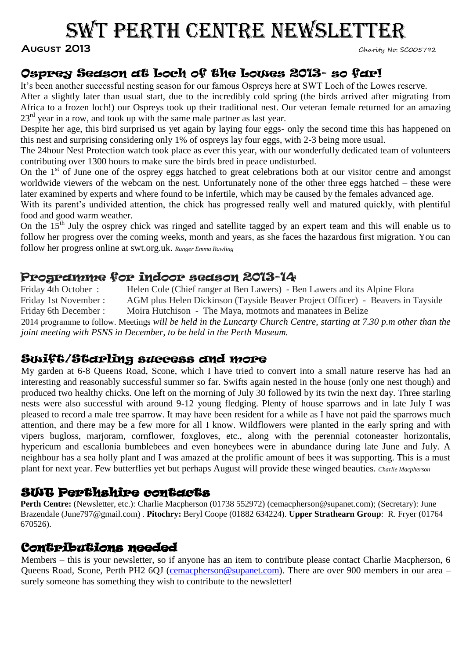# SWT PERTH CENTRE NEWSLETTER

#### AUGUST 2013

# Osprey Season at Loch of the Lowes 2013- so far!

It's been another successful nesting season for our famous Ospreys here at SWT Loch of the Lowes reserve.

After a slightly later than usual start, due to the incredibly cold spring (the birds arrived after migrating from Africa to a frozen loch!) our Ospreys took up their traditional nest. Our veteran female returned for an amazing 23<sup>rd</sup> year in a row, and took up with the same male partner as last year.

Despite her age, this bird surprised us yet again by laying four eggs- only the second time this has happened on this nest and surprising considering only 1% of ospreys lay four eggs, with 2-3 being more usual.

The 24hour Nest Protection watch took place as ever this year, with our wonderfully dedicated team of volunteers contributing over 1300 hours to make sure the birds bred in peace undisturbed.

On the  $1<sup>st</sup>$  of June one of the osprey eggs hatched to great celebrations both at our visitor centre and amongst worldwide viewers of the webcam on the nest. Unfortunately none of the other three eggs hatched – these were later examined by experts and where found to be infertile, which may be caused by the females advanced age.

With its parent's undivided attention, the chick has progressed really well and matured quickly, with plentiful food and good warm weather.

On the  $15<sup>th</sup>$  July the osprey chick was ringed and satellite tagged by an expert team and this will enable us to follow her progress over the coming weeks, month and years, as she faces the hazardous first migration. You can follow her progress online at swt.org.uk. *Ranger Emma Rawling*

## Programme for indoor season 2013-14

Friday 4th October : Helen Cole (Chief ranger at Ben Lawers) - Ben Lawers and its Alpine Flora Friday 1st November : AGM plus Helen Dickinson (Tayside Beaver Project Officer) - Beavers in Tayside Friday 6th December : Moira Hutchison - The Maya, motmots and manatees in Belize 2014 programme to follow. Meetings *will be held in the Luncarty Church Centre, starting at 7.30 p.m other than the joint meeting with PSNS in December, to be held in the Perth Museum.*

## Swift/Starling success and more

My garden at 6-8 Queens Road, Scone, which I have tried to convert into a small nature reserve has had an interesting and reasonably successful summer so far. Swifts again nested in the house (only one nest though) and produced two healthy chicks. One left on the morning of July 30 followed by its twin the next day. Three starling nests were also successful with around 9-12 young fledging. Plenty of house sparrows and in late July I was pleased to record a male tree sparrow. It may have been resident for a while as I have not paid the sparrows much attention, and there may be a few more for all I know. Wildflowers were planted in the early spring and with vipers bugloss, marjoram, cornflower, foxgloves, etc., along with the perennial cotoneaster horizontalis, hypericum and escallonia bumblebees and even honeybees were in abundance during late June and July. A neighbour has a sea holly plant and I was amazed at the prolific amount of bees it was supporting. This is a must plant for next year. Few butterflies yet but perhaps August will provide these winged beauties. *Charlie Macpherson*

## SWT Perthshire contacts

**Perth Centre:** (Newsletter, etc.): Charlie Macpherson (01738 552972) (cemacpherson@supanet.com); (Secretary): June Brazendale [\(June797@gmail.com\)](mailto:June797@gmail.com) . **Pitochry:** Beryl Coope (01882 634224). **Upper Strathearn Group**: R. Fryer (01764 670526).

## Contributions needed

Members – this is your newsletter, so if anyone has an item to contribute please contact Charlie Macpherson, 6 Queens Road, Scone, Perth PH2 6OJ [\(cemacpherson@supanet.com\)](mailto:cemacpherson@supanet.com). There are over 900 members in our area – surely someone has something they wish to contribute to the newsletter!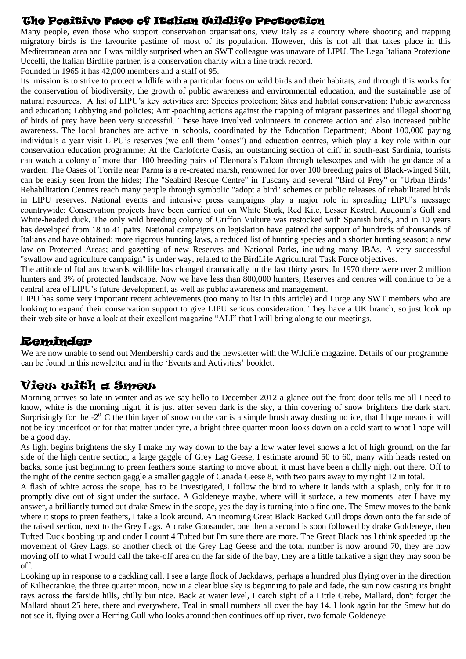#### The Positive Face of Italian Wildlife Protection

Many people, even those who support conservation organisations, view Italy as a country where shooting and trapping migratory birds is the favourite pastime of most of its population. However, this is not all that takes place in this Mediterranean area and I was mildly surprised when an SWT colleague was unaware of LIPU. The Lega Italiana Protezione Uccelli, the Italian Birdlife partner, is a conservation charity with a fine track record.

Founded in 1965 it has 42,000 members and a staff of 95.

Its mission is to strive to protect wildlife with a particular focus on wild birds and their habitats, and through this works for the conservation of biodiversity, the growth of public awareness and environmental education, and the sustainable use of natural resources. A list of LIPU's key activities are: Species protection; Sites and habitat conservation; Public awareness and education; Lobbying and policies; Anti-poaching actions against the trapping of migrant passerines and illegal shooting of birds of prey have been very successful. These have involved volunteers in concrete action and also increased public awareness. The local branches are active in schools, coordinated by the Education Department; About 100,000 paying individuals a year visit LIPU's reserves (we call them "oases") and education centres, which play a key role within our conservation education programme; At the Carloforte Oasis, an outstanding section of cliff in south-east Sardinia, tourists can watch a colony of more than 100 breeding pairs of Eleonora's Falcon through telescopes and with the guidance of a warden; The Oases of Torrile near Parma is a re-created marsh, renowned for over 100 breeding pairs of Black-winged Stilt, can be easily seen from the hides; The "Seabird Rescue Centre" in Tuscany and several "Bird of Prey" or "Urban Birds" Rehabilitation Centres reach many people through symbolic "adopt a bird" schemes or public releases of rehabilitated birds in LIPU reserves. National events and intensive press campaigns play a major role in spreading LIPU's message countrywide; Conservation projects have been carried out on White Stork, Red Kite, Lesser Kestrel, Audouin's Gull and White-headed duck. The only wild breeding colony of Griffon Vulture was restocked with Spanish birds, and in 10 years has developed from 18 to 41 pairs. National campaigns on legislation have gained the support of hundreds of thousands of Italians and have obtained: more rigorous hunting laws, a reduced list of hunting species and a shorter hunting season; a new law on Protected Areas; and gazetting of new Reserves and National Parks, including many IBAs. A very successful "swallow and agriculture campaign" is under way, related to the BirdLife Agricultural Task Force objectives.

The attitude of Italians towards wildlife has changed dramatically in the last thirty years. In 1970 there were over 2 million hunters and 3% of protected landscape. Now we have less than 800,000 hunters; Reserves and centres will continue to be a central area of LIPU's future development, as well as public awareness and management.

LIPU has some very important recent achievements (too many to list in this article) and I urge any SWT members who are looking to expand their conservation support to give LIPU serious consideration. They have a UK branch, so just look up their web site or have a look at their excellent magazine "ALI" that I will bring along to our meetings.

## **Reminder**

We are now unable to send out Membership cards and the newsletter with the Wildlife magazine. Details of our programme can be found in this newsletter and in the 'Events and Activities' booklet.

## View with a Smew

Morning arrives so late in winter and as we say hello to December 2012 a glance out the front door tells me all I need to know, white is the morning night, it is just after seven dark is the sky, a thin covering of snow brightens the dark start. Surprisingly for the  $-2^{\circ}$  C the thin layer of snow on the car is a simple brush away dusting no ice, that I hope means it will not be icy underfoot or for that matter under tyre, a bright three quarter moon looks down on a cold start to what I hope will be a good day.

As light begins brightens the sky I make my way down to the bay a low water level shows a lot of high ground, on the far side of the high centre section, a large gaggle of Grey Lag Geese, I estimate around 50 to 60, many with heads rested on backs, some just beginning to preen feathers some starting to move about, it must have been a chilly night out there. Off to the right of the centre section gaggle a smaller gaggle of Canada Geese 8, with two pairs away to my right 12 in total.

A flash of white across the scope, has to be investigated, I follow the bird to where it lands with a splash, only for it to promptly dive out of sight under the surface. A Goldeneye maybe, where will it surface, a few moments later I have my answer, a brilliantly turned out drake Smew in the scope, yes the day is turning into a fine one. The Smew moves to the bank where it stops to preen feathers, I take a look around. An incoming Great Black Backed Gull drops down onto the far side of the raised section, next to the Grey Lags. A drake Goosander, one then a second is soon followed by drake Goldeneye, then Tufted Duck bobbing up and under I count 4 Tufted but I'm sure there are more. The Great Black has I think speeded up the movement of Grey Lags, so another check of the Grey Lag Geese and the total number is now around 70, they are now moving off to what I would call the take-off area on the far side of the bay, they are a little talkative a sign they may soon be off.

Looking up in response to a cackling call, I see a large flock of Jackdaws, perhaps a hundred plus flying over in the direction of Killiecrankie, the three quarter moon, now in a clear blue sky is beginning to pale and fade, the sun now casting its bright rays across the farside hills, chilly but nice. Back at water level, I catch sight of a Little Grebe, Mallard, don't forget the Mallard about 25 here, there and everywhere, Teal in small numbers all over the bay 14. I look again for the Smew but do not see it, flying over a Herring Gull who looks around then continues off up river, two female Goldeneye